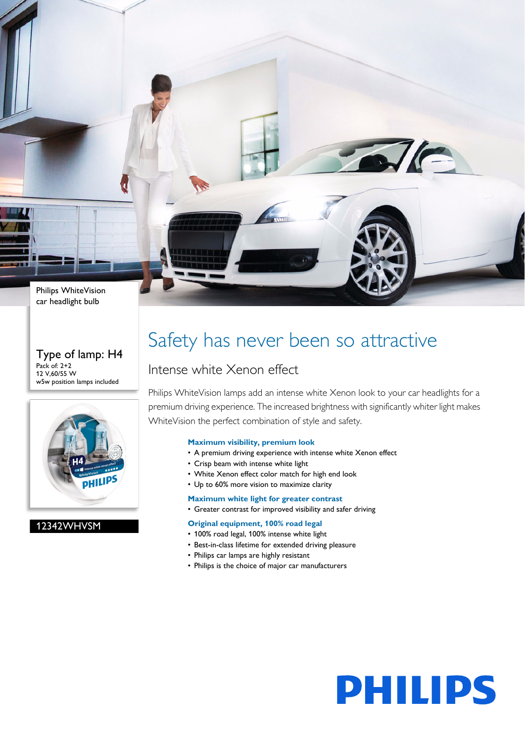Philips WhiteVision car headlight bulb

#### Type of lamp: H4 Pack of: 2+2 12 V,60/55 W w5w position lamps included



### 12342WHVSM

### Safety has never been so attractive

### Intense white Xenon effect

Philips WhiteVision lamps add an intense white Xenon look to your car headlights for a premium driving experience. The increased brightness with significantly whiter light makes WhiteVision the perfect combination of style and safety.

#### **Maximum visibility, premium look**

- A premium driving experience with intense white Xenon effect
- Crisp beam with intense white light
- White Xenon effect color match for high end look
- Up to 60% more vision to maximize clarity

#### **Maximum white light for greater contrast**

• Greater contrast for improved visibility and safer driving

#### **Original equipment, 100% road legal**

- 100% road legal, 100% intense white light
- Best-in-class lifetime for extended driving pleasure
- Philips car lamps are highly resistant
- Philips is the choice of major car manufacturers



 $\sqrt{C}$